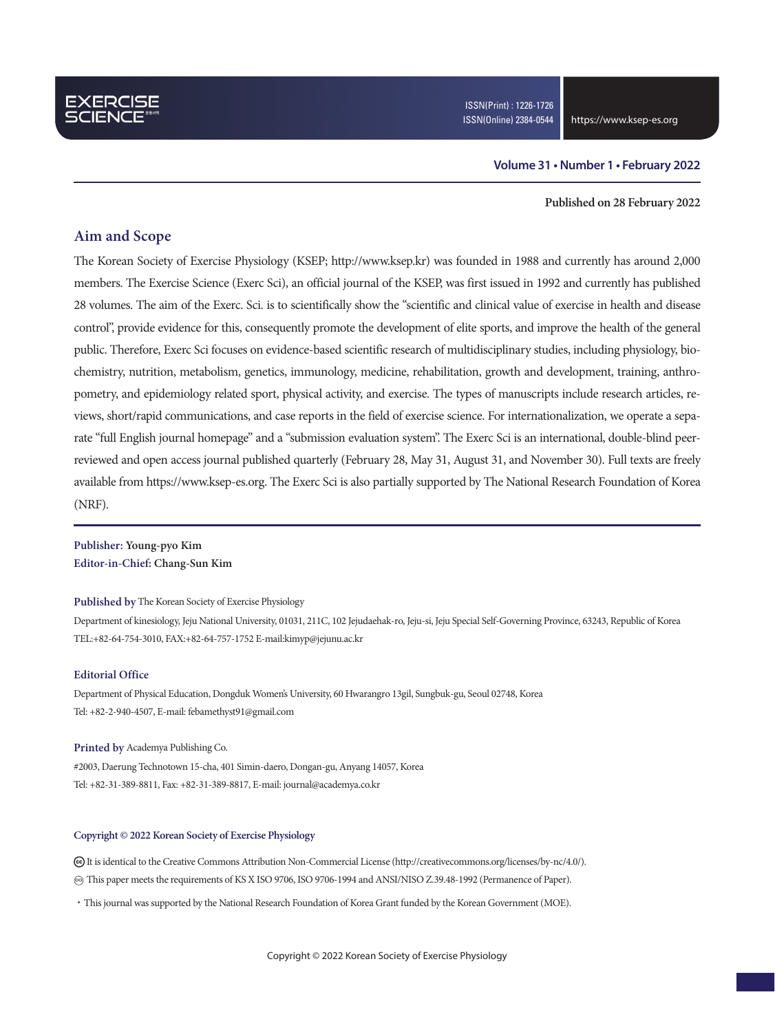### **Volume 31 • Number 1 • February 2022**

#### **Published on 28 February 2022**

### **Aim and Scope**

The Korean Society of Exercise Physiology (KSEP; http://www.ksep.kr) was founded in 1988 and currently has around 2,000 members. The Exercise Science (Exerc Sci), an official journal of the KSEP, was first issued in 1992 and currently has published 28 volumes. The aim of the Exerc. Sci. is to scientifically show the "scientific and clinical value of exercise in health and disease control", provide evidence for this, consequently promote the development of elite sports, and improve the health of the general public. Therefore, Exerc Sci focuses on evidence-based scientific research of multidisciplinary studies, including physiology, biochemistry, nutrition, metabolism, genetics, immunology, medicine, rehabilitation, growth and development, training, anthropometry, and epidemiology related sport, physical activity, and exercise. The types of manuscripts include research articles, reviews, short/rapid communications, and case reports in the field of exercise science. For internationalization, we operate a separate "full English journal homepage" and a "submission evaluation system". The Exerc Sci is an international, double-blind peerreviewed and open access journal published quarterly (February 28, May 31, August 31, and November 30). Full texts are freely available from https://www.ksep-es.org. The Exerc Sci is also partially supported by The National Research Foundation of Korea (NRF).

**Publisher: Young-pyo Kim Editor-in-Chief: Chang-Sun Kim**

### **Published by** The Korean Society of Exercise Physiology

Department of kinesiology, Jeju National University, 01031, 211C, 102 Jejudaehak-ro, Jeju-si, Jeju Special Self-Governing Province, 63243, Republic of Korea TEL:+82-64-754-3010, FAX:+82-64-757-1752 E-mail:kimyp@jejunu.ac.kr

### **Editorial Office**

Department of Physical Education, Dongduk Women's University, 60 Hwarangro 13gil, Sungbuk-gu, Seoul 02748, Korea Tel: +82-2-940-4507, E-mail: febamethyst91@gmail.com

#### **Printed by** Academya Publishing Co.

#2003, Daerung Technotown 15-cha, 401 Simin-daero, Dongan-gu, Anyang 14057, Korea Tel: +82-31-389-8811, Fax: +82-31-389-8817, E-mail: journal@academya.co.kr

### **Copyright © 2022 Korean Society of Exercise Physiology**

 It is identical to the Creative Commons Attribution Non-Commercial License (http://creativecommons.org/licenses/by-nc/4.0/). ∞ This paper meets the requirements of KS X ISO 9706, ISO 9706-1994 and ANSI/NISO Z.39.48-1992 (Permanence of Paper).

·This journal was supported by the National Research Foundation of Korea Grant funded by the Korean Government (MOE).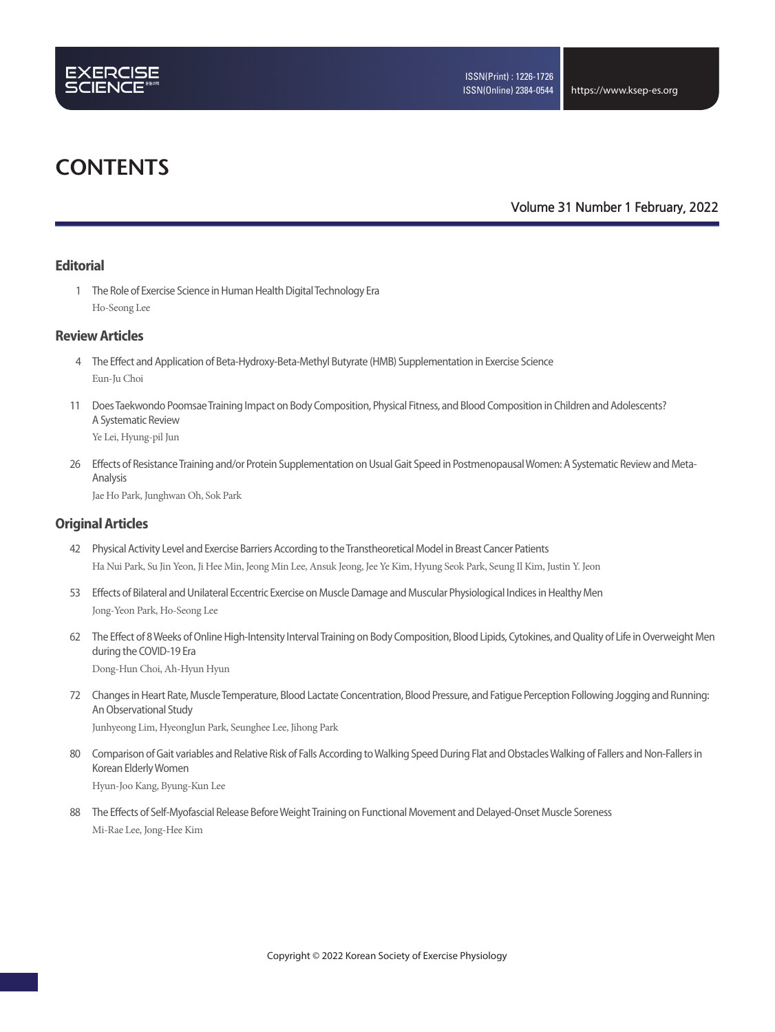

# **CONTENTS**

**Volume 31 Number 1 February, 2022**

### **Editorial**

 1 The Role of Exercise Science in Human Health Digital Technology Era Ho-Seong Lee

### **Review Articles**

- 4 The Effect and Application of Beta-Hydroxy-Beta-Methyl Butyrate (HMB) Supplementation in Exercise Science Eun-Ju Choi
- 11 Does Taekwondo Poomsae Training Impact on Body Composition, Physical Fitness, and Blood Composition in Children and Adolescents? A Systematic Review

Ye Lei, Hyung-pil Jun

 26 Effects of Resistance Training and/or Protein Supplementation on Usual Gait Speed in Postmenopausal Women: A Systematic Review and Meta-Analysis

Jae Ho Park, Junghwan Oh, Sok Park

### **Original Articles**

- 42 Physical Activity Level and Exercise Barriers According to the Transtheoretical Model in Breast Cancer Patients Ha Nui Park, Su Jin Yeon, Ji Hee Min, Jeong Min Lee, Ansuk Jeong, Jee Ye Kim, Hyung Seok Park, Seung Il Kim, Justin Y. Jeon
- 53 Effects of Bilateral and Unilateral Eccentric Exercise on Muscle Damage and Muscular Physiological Indices in Healthy Men Jong-Yeon Park, Ho-Seong Lee
- 62 The Effect of 8 Weeks of Online High-Intensity Interval Training on Body Composition, Blood Lipids, Cytokines, and Quality of Life in Overweight Men during the COVID-19 Era Dong-Hun Choi, Ah-Hyun Hyun
- 72 Changes in Heart Rate, Muscle Temperature, Blood Lactate Concentration, Blood Pressure, and Fatigue Perception Following Jogging and Running: An Observational Study Junhyeong Lim, HyeongJun Park, Seunghee Lee, Jihong Park
- 80 Comparison of Gait variables and Relative Risk of Falls According to Walking Speed During Flat and Obstacles Walking of Fallers and Non-Fallers in Korean Elderly Women Hyun-Joo Kang, Byung-Kun Lee
- 88 The Effects of Self-Myofascial Release Before Weight Training on Functional Movement and Delayed-Onset Muscle Soreness Mi-Rae Lee, Jong-Hee Kim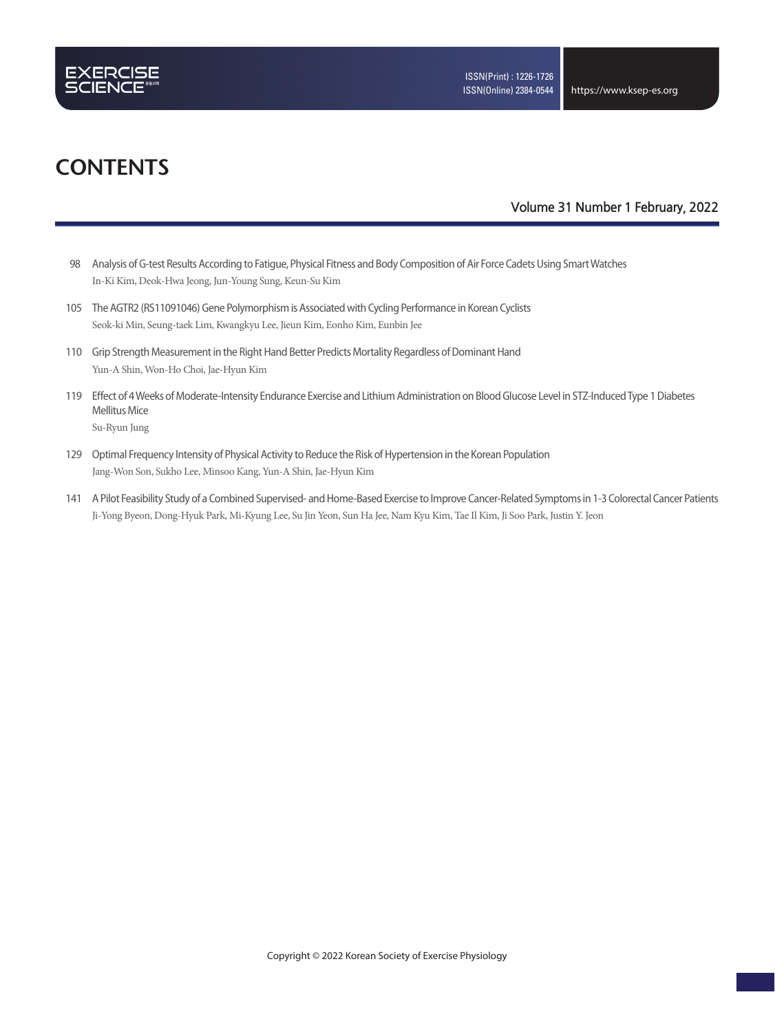

# **CONTENTS**

### **Volume 31 Number 1 February, 2022**

- 98 Analysis of G-test Results According to Fatigue, Physical Fitness and Body Composition of Air Force Cadets Using Smart Watches In-Ki Kim, Deok-Hwa Jeong, Jun-Young Sung, Keun-Su Kim
- 105 The AGTR2 (RS11091046) Gene Polymorphism is Associated with Cycling Performance in Korean Cyclists Seok-ki Min, Seung-taek Lim, Kwangkyu Lee, Jieun Kim, Eonho Kim, Eunbin Jee
- 110 Grip Strength Measurement in the Right Hand Better Predicts Mortality Regardless of Dominant Hand Yun-A Shin, Won-Ho Choi, Jae-Hyun Kim
- 119 Effect of 4 Weeks of Moderate-Intensity Endurance Exercise and Lithium Administration on Blood Glucose Level in STZ-Induced Type 1 Diabetes Mellitus Mice

Su-Ryun Jung

- 129 Optimal Frequency Intensity of Physical Activity to Reduce the Risk of Hypertension in the Korean Population Jang-Won Son, Sukho Lee, Minsoo Kang, Yun-A Shin, Jae-Hyun Kim
- 141 A Pilot Feasibility Study of a Combined Supervised- and Home-Based Exercise to Improve Cancer-Related Symptoms in 1-3 Colorectal Cancer Patients Ji-Yong Byeon, Dong-Hyuk Park, Mi-Kyung Lee, Su Jin Yeon, Sun Ha Jee, Nam Kyu Kim, Tae Il Kim, Ji Soo Park, Justin Y. Jeon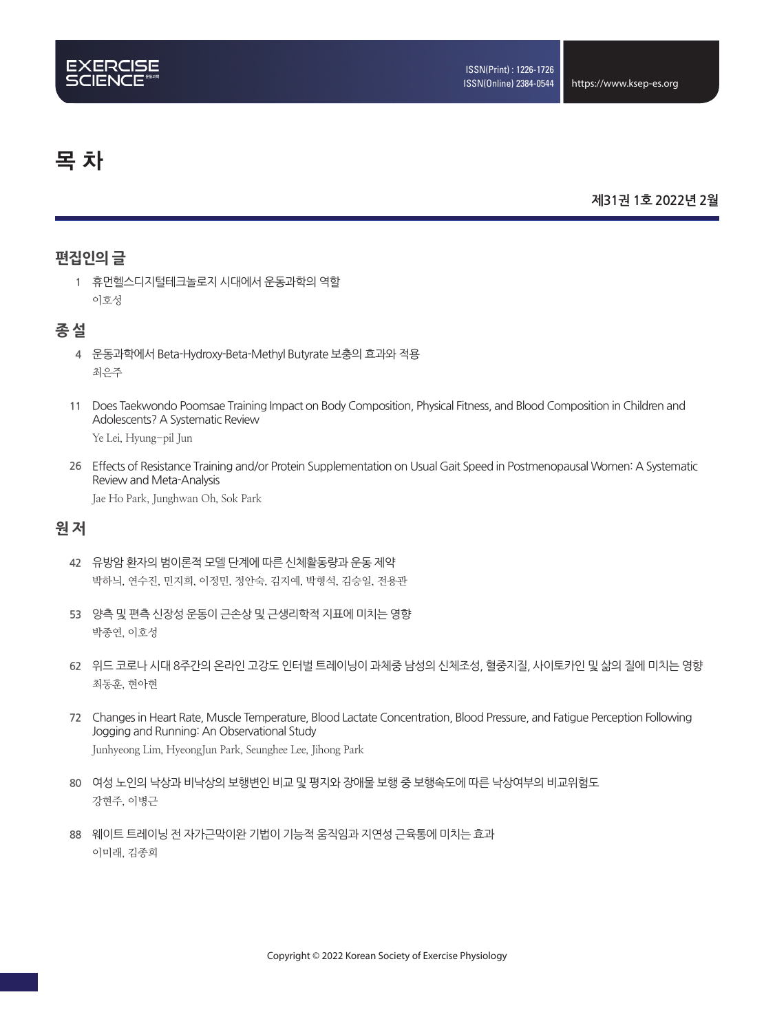# 목 차

## **제31권 1호 2022년 2월**

# **편집인의 글**

**1** 휴먼헬스디지털테크놀로지 시대에서 운동과학의 역할 이호성

# **종 설**

- **4** 운동과학에서 Beta-Hydroxy-Beta-Methyl Butyrate 보충의 효과와 적용 최은주
- **11** Does Taekwondo Poomsae Training Impact on Body Composition, Physical Fitness, and Blood Composition in Children and Adolescents? A Systematic Review

Ye Lei, Hyung-pil Jun

**26** Effects of Resistance Training and/or Protein Supplementation on Usual Gait Speed in Postmenopausal Women: A Systematic Review and Meta-Analysis

Jae Ho Park, Junghwan Oh, Sok Park

# **원 저**

- **42** 유방암 환자의 범이론적 모델 단계에 따른 신체활동량과 운동 제약 박하늬, 연수진, 민지희, 이정민, 정안숙, 김지예, 박형석, 김승일, 전용관
- **53** 양측 및 편측 신장성 운동이 근손상 및 근생리학적 지표에 미치는 영향 박종연, 이호성
- **62** 위드 코로나 시대 8주간의 온라인 고강도 인터벌 트레이닝이 과체중 남성의 신체조성, 혈중지질, 사이토카인 및 삶의 질에 미치는 영향 최동훈, 현아현
- **72** Changes in Heart Rate, Muscle Temperature, Blood Lactate Concentration, Blood Pressure, and Fatigue Perception Following Jogging and Running: An Observational Study Junhyeong Lim, HyeongJun Park, Seunghee Lee, Jihong Park
- **80** 여성 노인의 낙상과 비낙상의 보행변인 비교 및 평지와 장애물 보행 중 보행속도에 따른 낙상여부의 비교위험도 강현주, 이병근
- **88** 웨이트 트레이닝 전 자가근막이완 기법이 기능적 움직임과 지연성 근육통에 미치는 효과 이미래, 김종희